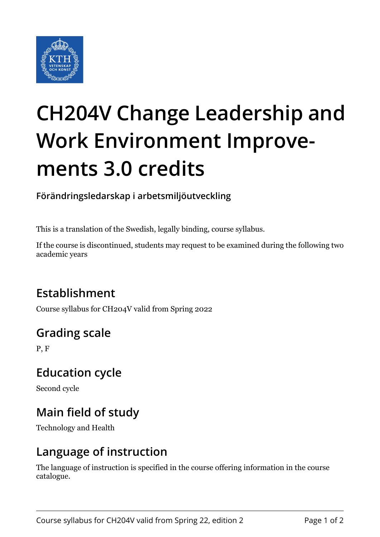

# **CH204V Change Leadership and Work Environment Improvements 3.0 credits**

**Förändringsledarskap i arbetsmiljöutveckling**

This is a translation of the Swedish, legally binding, course syllabus.

If the course is discontinued, students may request to be examined during the following two academic years

# **Establishment**

Course syllabus for CH204V valid from Spring 2022

# **Grading scale**

P, F

#### **Education cycle**

Second cycle

# **Main field of study**

Technology and Health

#### **Language of instruction**

The language of instruction is specified in the course offering information in the course catalogue.